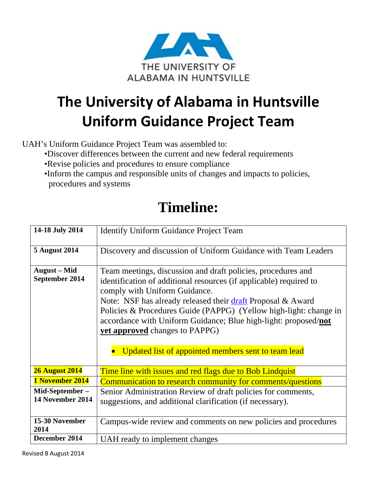

## **The University of Alabama in Huntsville Uniform Guidance Project Team**

UAH's Uniform Guidance Project Team was assembled to:

- •Discover differences between the current and new federal requirements
- •Revise policies and procedures to ensure compliance
- •Inform the campus and responsible units of changes and impacts to policies, procedures and systems

## **Timeline:**

| 14-18 July 2014                       | <b>Identify Uniform Guidance Project Team</b>                                                                                                                                                                                                                                                                                                                                                                                                                              |
|---------------------------------------|----------------------------------------------------------------------------------------------------------------------------------------------------------------------------------------------------------------------------------------------------------------------------------------------------------------------------------------------------------------------------------------------------------------------------------------------------------------------------|
| <b>5 August 2014</b>                  | Discovery and discussion of Uniform Guidance with Team Leaders                                                                                                                                                                                                                                                                                                                                                                                                             |
| <b>August</b> – Mid<br>September 2014 | Team meetings, discussion and draft policies, procedures and<br>identification of additional resources (if applicable) required to<br>comply with Uniform Guidance.<br>Note: NSF has already released their draft Proposal & Award<br>Policies & Procedures Guide (PAPPG) (Yellow high-light: change in<br>accordance with Uniform Guidance; Blue high-light: proposed/not<br><b>yet approved</b> changes to PAPPG)<br>Updated list of appointed members sent to team lead |
| <b>26 August 2014</b>                 | Time line with issues and red flags due to Bob Lindquist                                                                                                                                                                                                                                                                                                                                                                                                                   |
| 1 November 2014                       | Communication to research community for comments/questions                                                                                                                                                                                                                                                                                                                                                                                                                 |
| Mid-September-<br>14 November 2014    | Senior Administration Review of draft policies for comments,<br>suggestions, and additional clarification (if necessary).                                                                                                                                                                                                                                                                                                                                                  |
| 15-30 November<br>2014                | Campus-wide review and comments on new policies and procedures                                                                                                                                                                                                                                                                                                                                                                                                             |
| December 2014                         | UAH ready to implement changes                                                                                                                                                                                                                                                                                                                                                                                                                                             |